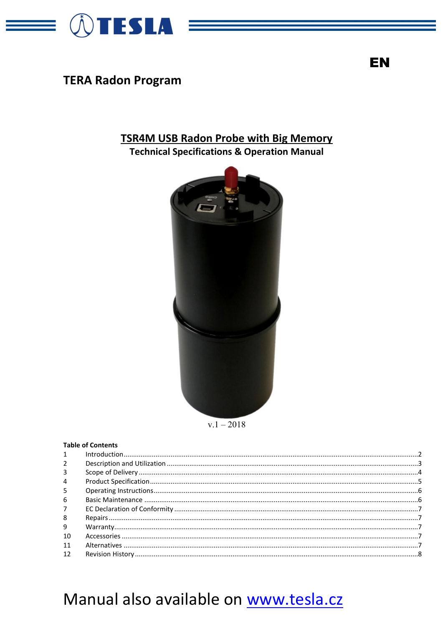

**TERA Radon Program** 

## **TSR4M USB Radon Probe with Big Memory**

**Technical Specifications & Operation Manual** 





#### **Table of Contents**  $\mathbf{1}$  $\overline{2}$  $\overline{3}$  $\Delta$ 5 6  $\overline{7}$  $\mathbf{8}$ q 10  $11$  $12$

# Manual also available on www.tesla.cz

EN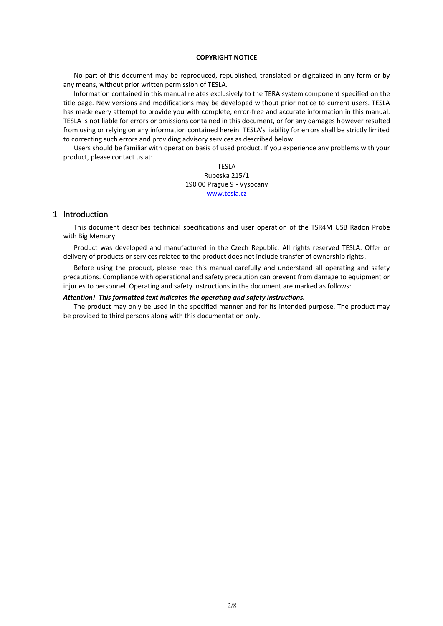#### **COPYRIGHT NOTICE**

No part of this document may be reproduced, republished, translated or digitalized in any form or by any means, without prior written permission of TESLA.

Information contained in this manual relates exclusively to the TERA system component specified on the title page. New versions and modifications may be developed without prior notice to current users. TESLA has made every attempt to provide you with complete, error-free and accurate information in this manual. TESLA is not liable for errors or omissions contained in this document, or for any damages however resulted from using or relying on any information contained herein. TESLA's liability for errors shall be strictly limited to correcting such errors and providing advisory services as described below.

Users should be familiar with operation basis of used product. If you experience any problems with your product, please contact us at:

> TESLA Rubeska 215/1 190 00 Prague 9 - Vysocany [www.tesla.cz](http://www.tesla.cz/)

#### <span id="page-1-0"></span>1 Introduction

This document describes technical specifications and user operation of the TSR4M USB Radon Probe with Big Memory.

Product was developed and manufactured in the Czech Republic. All rights reserved TESLA. Offer or delivery of products or services related to the product does not include transfer of ownership rights.

Before using the product, please read this manual carefully and understand all operating and safety precautions. Compliance with operational and safety precaution can prevent from damage to equipment or injuries to personnel. Operating and safety instructions in the document are marked as follows:

#### *Attention! This formatted text indicates the operating and safety instructions.*

The product may only be used in the specified manner and for its intended purpose. The product may be provided to third persons along with this documentation only.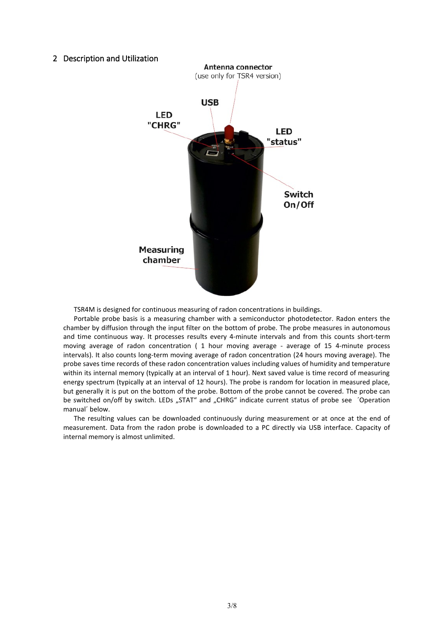#### <span id="page-2-0"></span>2 Description and Utilization



TSR4M is designed for continuous measuring of radon concentrations in buildings.

Portable probe basis is a measuring chamber with a semiconductor photodetector. Radon enters the chamber by diffusion through the input filter on the bottom of probe. The probe measures in autonomous and time continuous way. It processes results every 4-minute intervals and from this counts short-term moving average of radon concentration ( 1 hour moving average - average of 15 4-minute process intervals). It also counts long-term moving average of radon concentration (24 hours moving average). The probe saves time records of these radon concentration values including values of humidity and temperature within its internal memory (typically at an interval of 1 hour). Next saved value is time record of measuring energy spectrum (typically at an interval of 12 hours). The probe is random for location in measured place, but generally it is put on the bottom of the probe. Bottom of the probe cannot be covered. The probe can be switched on/off by switch. LEDs "STAT" and "CHRG" indicate current status of probe see 'Operation manual´ below.

The resulting values can be downloaded continuously during measurement or at once at the end of measurement. Data from the radon probe is downloaded to a PC directly via USB interface. Capacity of internal memory is almost unlimited.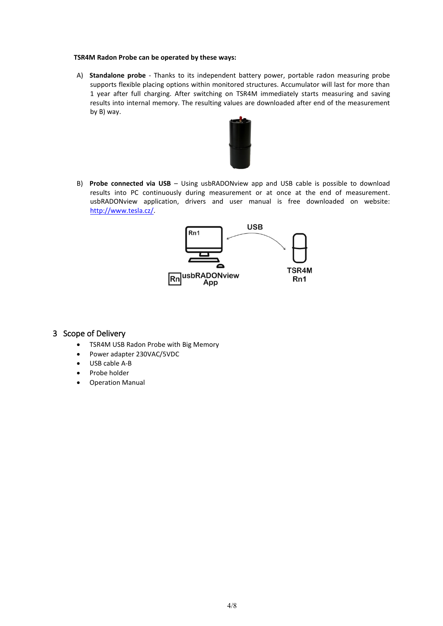#### **TSR4M Radon Probe can be operated by these ways:**

A) **Standalone probe** - Thanks to its independent battery power, portable radon measuring probe supports flexible placing options within monitored structures. Accumulator will last for more than 1 year after full charging. After switching on TSR4M immediately starts measuring and saving results into internal memory. The resulting values are downloaded after end of the measurement by B) way.



B) **Probe connected via USB** – Using usbRADONview app and USB cable is possible to download results into PC continuously during measurement or at once at the end of measurement. usbRADONview application, drivers and user manual is free downloaded on website: [http://www.tesla.cz/.](http://www.tesla.cz/)



#### <span id="page-3-0"></span>3 Scope of Delivery

- TSR4M USB Radon Probe with Big Memory
- Power adapter 230VAC/5VDC
- USB cable A-B
- Probe holder
- <span id="page-3-1"></span>• Operation Manual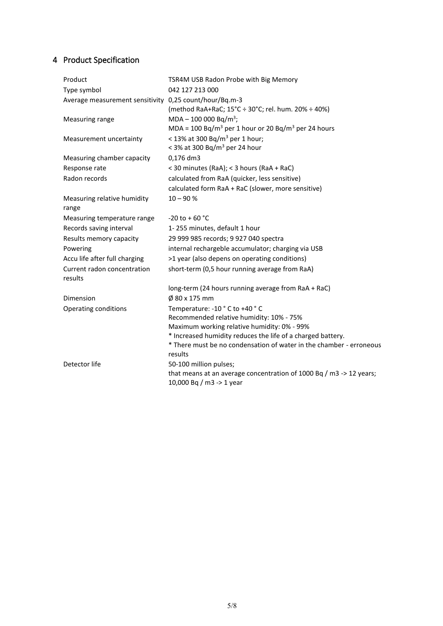## 4 Product Specification

| Product                                                | TSR4M USB Radon Probe with Big Memory                                                           |
|--------------------------------------------------------|-------------------------------------------------------------------------------------------------|
| Type symbol                                            | 042 127 213 000                                                                                 |
| Average measurement sensitivity 0,25 count/hour/Bq.m-3 |                                                                                                 |
|                                                        | (method RaA+RaC; 15°C ÷ 30°C; rel. hum. 20% ÷ 40%)                                              |
| Measuring range                                        | $MDA - 100000 Bq/m^3$ ;                                                                         |
|                                                        | MDA = 100 Bq/m <sup>3</sup> per 1 hour or 20 Bq/m <sup>3</sup> per 24 hours                     |
| Measurement uncertainty                                | < 13% at 300 Bq/m <sup>3</sup> per 1 hour;                                                      |
|                                                        | < 3% at 300 Bq/m <sup>3</sup> per 24 hour                                                       |
| Measuring chamber capacity                             | 0,176 dm3                                                                                       |
| Response rate                                          | < 30 minutes (RaA); < 3 hours (RaA + RaC)                                                       |
| Radon records                                          | calculated from RaA (quicker, less sensitive)                                                   |
|                                                        | calculated form RaA + RaC (slower, more sensitive)                                              |
| Measuring relative humidity<br>range                   | $10 - 90 %$                                                                                     |
| Measuring temperature range                            | $-20$ to + 60 °C                                                                                |
| Records saving interval                                | 1-255 minutes, default 1 hour                                                                   |
| Results memory capacity                                | 29 999 985 records; 9 927 040 spectra                                                           |
| Powering                                               | internal rechargeble accumulator; charging via USB                                              |
| Accu life after full charging                          | >1 year (also depens on operating conditions)                                                   |
| Current radon concentration<br>results                 | short-term (0,5 hour running average from RaA)                                                  |
|                                                        | long-term (24 hours running average from RaA + RaC)                                             |
| Dimension                                              | Ø 80 x 175 mm                                                                                   |
| Operating conditions                                   | Temperature: -10 °C to +40 °C                                                                   |
|                                                        | Recommended relative humidity: 10% - 75%                                                        |
|                                                        | Maximum working relative humidity: 0% - 99%                                                     |
|                                                        | * Increased humidity reduces the life of a charged battery.                                     |
|                                                        | * There must be no condensation of water in the chamber - erroneous<br>results                  |
| Detector life                                          | 50-100 million pulses;                                                                          |
|                                                        | that means at an average concentration of 1000 Bq / m3 -> 12 years;<br>10,000 Bq / m3 -> 1 year |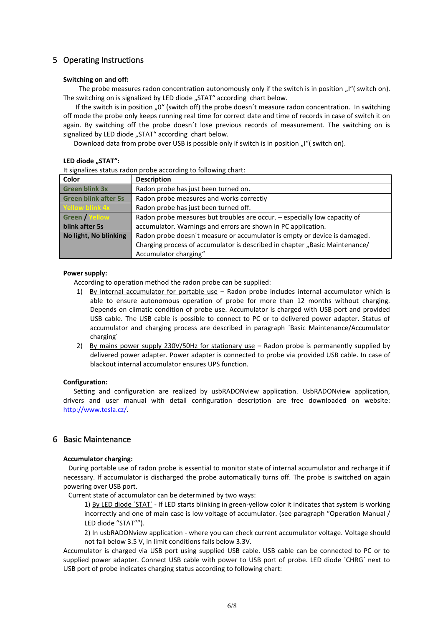### <span id="page-5-0"></span>5 Operating Instructions

#### **Switching on and off:**

The probe measures radon concentration autonomously only if the switch is in position "I"( switch on). The switching on is signalized by LED diode "STAT" according chart below.

If the switch is in position "0" (switch off) the probe doesn't measure radon concentration. In switching off mode the probe only keeps running real time for correct date and time of records in case of switch it on again. By switching off the probe doesn´t lose previous records of measurement. The switching on is signalized by LED diode "STAT" according chart below.

Download data from probe over USB is possible only if switch is in position "I" (switch on).

#### LED diode ..STAT":

It signalizes status radon probe according to following chart:

| Color                       | <b>Description</b>                                                          |  |
|-----------------------------|-----------------------------------------------------------------------------|--|
| <b>Green blink 3x</b>       | Radon probe has just been turned on.                                        |  |
| <b>Green blink after 5s</b> | Radon probe measures and works correctly                                    |  |
| Yellow blink 4x             | Radon probe has just been turned off.                                       |  |
| <b>Green / Yellow</b>       | Radon probe measures but troubles are occur. - especially low capacity of   |  |
| blink after 5s              | accumulator. Warnings and errors are shown in PC application.               |  |
| No light, No blinking       | Radon probe doesn't measure or accumulator is empty or device is damaged.   |  |
|                             | Charging process of accumulator is described in chapter "Basic Maintenance/ |  |
|                             | Accumulator charging"                                                       |  |

#### **Power supply:**

According to operation method the radon probe can be supplied:

- 1) By internal accumulator for portable use Radon probe includes internal accumulator which is able to ensure autonomous operation of probe for more than 12 months without charging. Depends on climatic condition of probe use. Accumulator is charged with USB port and provided USB cable. The USB cable is possible to connect to PC or to delivered power adapter. Status of accumulator and charging process are described in paragraph ´Basic Maintenance/Accumulator charging´
- 2) By mains power supply 230V/50Hz for stationary use Radon probe is permanently supplied by delivered power adapter. Power adapter is connected to probe via provided USB cable. In case of blackout internal accumulator ensures UPS function.

#### **Configuration:**

Setting and configuration are realized by usbRADONview application. UsbRADONview application, drivers and user manual with detail configuration description are free downloaded on website: [http://www.tesla.cz/.](http://www.tesla.cz/)

#### <span id="page-5-1"></span>6 Basic Maintenance

#### **Accumulator charging:**

 During portable use of radon probe is essential to monitor state of internal accumulator and recharge it if necessary. If accumulator is discharged the probe automatically turns off. The probe is switched on again powering over USB port.

Current state of accumulator can be determined by two ways:

1) By LED diode ´STAT´ - If LED starts blinking in green-yellow color it indicates that system is working incorrectly and one of main case is low voltage of accumulator. (see paragraph "Operation Manual / LED diode "STAT"").

2) In usbRADONview application - where you can check current accumulator voltage. Voltage should not fall below 3.5 V, in limit conditions falls below 3.3V.

Accumulator is charged via USB port using supplied USB cable. USB cable can be connected to PC or to supplied power adapter. Connect USB cable with power to USB port of probe. LED diode ´CHRG´ next to USB port of probe indicates charging status according to following chart: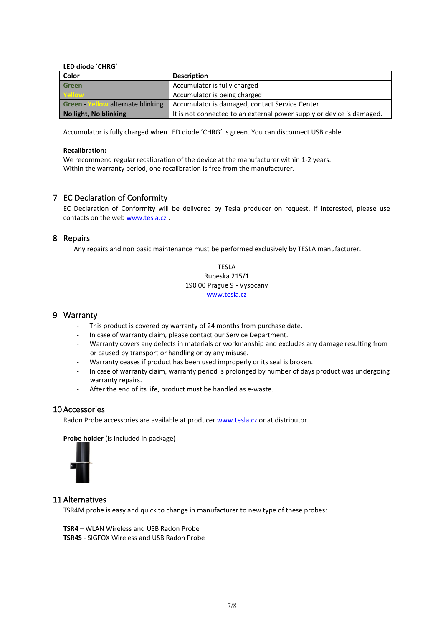#### **LED diode ´CHRG´**

| Color                             | <b>Description</b>                                                    |  |
|-----------------------------------|-----------------------------------------------------------------------|--|
| <b>Green</b>                      | Accumulator is fully charged                                          |  |
| Yellow                            | Accumulator is being charged                                          |  |
| Green - Yellow alternate blinking | Accumulator is damaged, contact Service Center                        |  |
| No light, No blinking             | It is not connected to an external power supply or device is damaged. |  |

Accumulator is fully charged when LED diode ´CHRG´ is green. You can disconnect USB cable.

#### **Recalibration:**

We recommend regular recalibration of the device at the manufacturer within 1-2 years. Within the warranty period, one recalibration is free from the manufacturer.

#### <span id="page-6-0"></span>7 EC Declaration of Conformity

EC Declaration of Conformity will be delivered by Tesla producer on request. If interested, please use contacts on the web [www.tesla.cz](http://www.tesla.cz/).

#### <span id="page-6-1"></span>8 Repairs

Any repairs and non basic maintenance must be performed exclusively by TESLA manufacturer.

TESLA Rubeska 215/1 190 00 Prague 9 - Vysocany [www.tesla.cz](http://www.tesla.cz/)

#### <span id="page-6-2"></span>9 Warranty

- This product is covered by warranty of 24 months from purchase date.
- In case of warranty claim, please contact our Service Department.
- Warranty covers any defects in materials or workmanship and excludes any damage resulting from or caused by transport or handling or by any misuse.
- Warranty ceases if product has been used improperly or its seal is broken.
- In case of warranty claim, warranty period is prolonged by number of days product was undergoing warranty repairs.
- After the end of its life, product must be handled as e-waste.

#### <span id="page-6-3"></span>10 Accessories

Radon Probe accessories are available at producer [www.tesla.cz](http://www.tesla.cz/) or at distributor.

**Probe holder** (is included in package)



#### <span id="page-6-4"></span>11 Alternatives

TSR4M probe is easy and quick to change in manufacturer to new type of these probes:

**TSR4** – WLAN Wireless and USB Radon Probe **TSR4S** - SIGFOX Wireless and USB Radon Probe